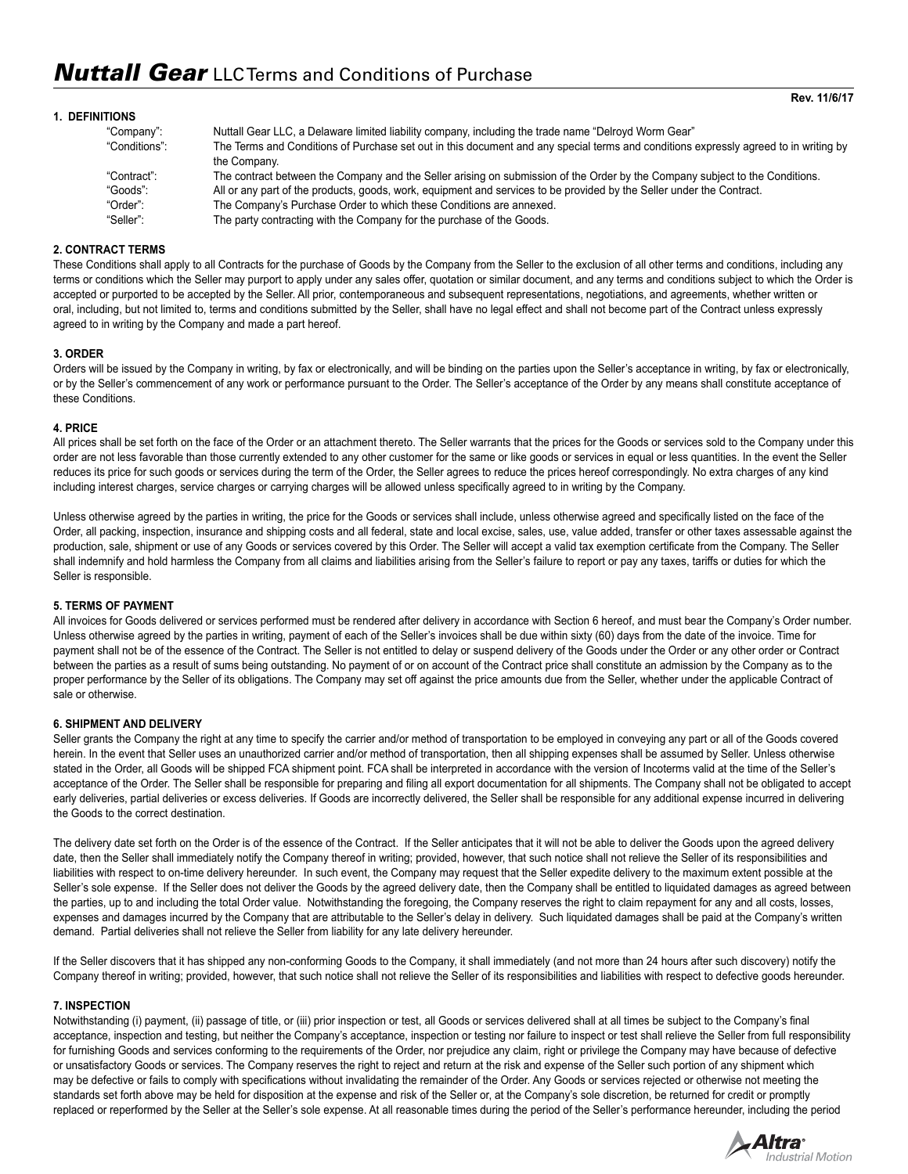#### **1. DEFINITIONS**

| "Company":    | "Nuttall Gear LLC, a Delaware limited liability company, including the trade name "Delroyd Worm Gear                                 |
|---------------|--------------------------------------------------------------------------------------------------------------------------------------|
| "Conditions": | The Terms and Conditions of Purchase set out in this document and any special terms and conditions expressly agreed to in writing by |
|               | the Company.                                                                                                                         |
| "Contract":   | The contract between the Company and the Seller arising on submission of the Order by the Company subject to the Conditions.         |
| "Goods":      | All or any part of the products, goods, work, equipment and services to be provided by the Seller under the Contract.                |
| "Order":      | The Company's Purchase Order to which these Conditions are annexed.                                                                  |
| "Seller":     | The party contracting with the Company for the purchase of the Goods.                                                                |

#### **2. CONTRACT TERMS**

These Conditions shall apply to all Contracts for the purchase of Goods by the Company from the Seller to the exclusion of all other terms and conditions, including any terms or conditions which the Seller may purport to apply under any sales offer, quotation or similar document, and any terms and conditions subject to which the Order is accepted or purported to be accepted by the Seller. All prior, contemporaneous and subsequent representations, negotiations, and agreements, whether written or oral, including, but not limited to, terms and conditions submitted by the Seller, shall have no legal effect and shall not become part of the Contract unless expressly agreed to in writing by the Company and made a part hereof.

#### **3. ORDER**

Orders will be issued by the Company in writing, by fax or electronically, and will be binding on the parties upon the Seller's acceptance in writing, by fax or electronically, or by the Seller's commencement of any work or performance pursuant to the Order. The Seller's acceptance of the Order by any means shall constitute acceptance of these Conditions.

#### **4. PRICE**

All prices shall be set forth on the face of the Order or an attachment thereto. The Seller warrants that the prices for the Goods or services sold to the Company under this order are not less favorable than those currently extended to any other customer for the same or like goods or services in equal or less quantities. In the event the Seller reduces its price for such goods or services during the term of the Order, the Seller agrees to reduce the prices hereof correspondingly. No extra charges of any kind including interest charges, service charges or carrying charges will be allowed unless specifically agreed to in writing by the Company.

Unless otherwise agreed by the parties in writing, the price for the Goods or services shall include, unless otherwise agreed and specifically listed on the face of the Order, all packing, inspection, insurance and shipping costs and all federal, state and local excise, sales, use, value added, transfer or other taxes assessable against the production, sale, shipment or use of any Goods or services covered by this Order. The Seller will accept a valid tax exemption certificate from the Company. The Seller shall indemnify and hold harmless the Company from all claims and liabilities arising from the Seller's failure to report or pay any taxes, tariffs or duties for which the Seller is responsible.

#### **5. TERMS OF PAYMENT**

All invoices for Goods delivered or services performed must be rendered after delivery in accordance with Section 6 hereof, and must bear the Company's Order number. Unless otherwise agreed by the parties in writing, payment of each of the Seller's invoices shall be due within sixty (60) days from the date of the invoice. Time for payment shall not be of the essence of the Contract. The Seller is not entitled to delay or suspend delivery of the Goods under the Order or any other order or Contract between the parties as a result of sums being outstanding. No payment of or on account of the Contract price shall constitute an admission by the Company as to the proper performance by the Seller of its obligations. The Company may set off against the price amounts due from the Seller, whether under the applicable Contract of sale or otherwise.

#### **6. SHIPMENT AND DELIVERY**

Seller grants the Company the right at any time to specify the carrier and/or method of transportation to be employed in conveying any part or all of the Goods covered herein. In the event that Seller uses an unauthorized carrier and/or method of transportation, then all shipping expenses shall be assumed by Seller. Unless otherwise stated in the Order, all Goods will be shipped FCA shipment point. FCA shall be interpreted in accordance with the version of Incoterms valid at the time of the Seller's acceptance of the Order. The Seller shall be responsible for preparing and filing all export documentation for all shipments. The Company shall not be obligated to accept early deliveries, partial deliveries or excess deliveries. If Goods are incorrectly delivered, the Seller shall be responsible for any additional expense incurred in delivering the Goods to the correct destination.

The delivery date set forth on the Order is of the essence of the Contract. If the Seller anticipates that it will not be able to deliver the Goods upon the agreed delivery date, then the Seller shall immediately notify the Company thereof in writing; provided, however, that such notice shall not relieve the Seller of its responsibilities and liabilities with respect to on-time delivery hereunder. In such event, the Company may request that the Seller expedite delivery to the maximum extent possible at the Seller's sole expense. If the Seller does not deliver the Goods by the agreed delivery date, then the Company shall be entitled to liquidated damages as agreed between the parties, up to and including the total Order value. Notwithstanding the foregoing, the Company reserves the right to claim repayment for any and all costs, losses, expenses and damages incurred by the Company that are attributable to the Seller's delay in delivery. Such liquidated damages shall be paid at the Company's written demand. Partial deliveries shall not relieve the Seller from liability for any late delivery hereunder.

If the Seller discovers that it has shipped any non-conforming Goods to the Company, it shall immediately (and not more than 24 hours after such discovery) notify the Company thereof in writing; provided, however, that such notice shall not relieve the Seller of its responsibilities and liabilities with respect to defective goods hereunder.

#### **7. INSPECTION**

Notwithstanding (i) payment, (ii) passage of title, or (iii) prior inspection or test, all Goods or services delivered shall at all times be subject to the Company's final acceptance, inspection and testing, but neither the Company's acceptance, inspection or testing nor failure to inspect or test shall relieve the Seller from full responsibility for furnishing Goods and services conforming to the requirements of the Order, nor prejudice any claim, right or privilege the Company may have because of defective or unsatisfactory Goods or services. The Company reserves the right to reject and return at the risk and expense of the Seller such portion of any shipment which may be defective or fails to comply with specifications without invalidating the remainder of the Order. Any Goods or services rejected or otherwise not meeting the standards set forth above may be held for disposition at the expense and risk of the Seller or, at the Company's sole discretion, be returned for credit or promptly replaced or reperformed by the Seller at the Seller's sole expense. At all reasonable times during the period of the Seller's performance hereunder, including the period

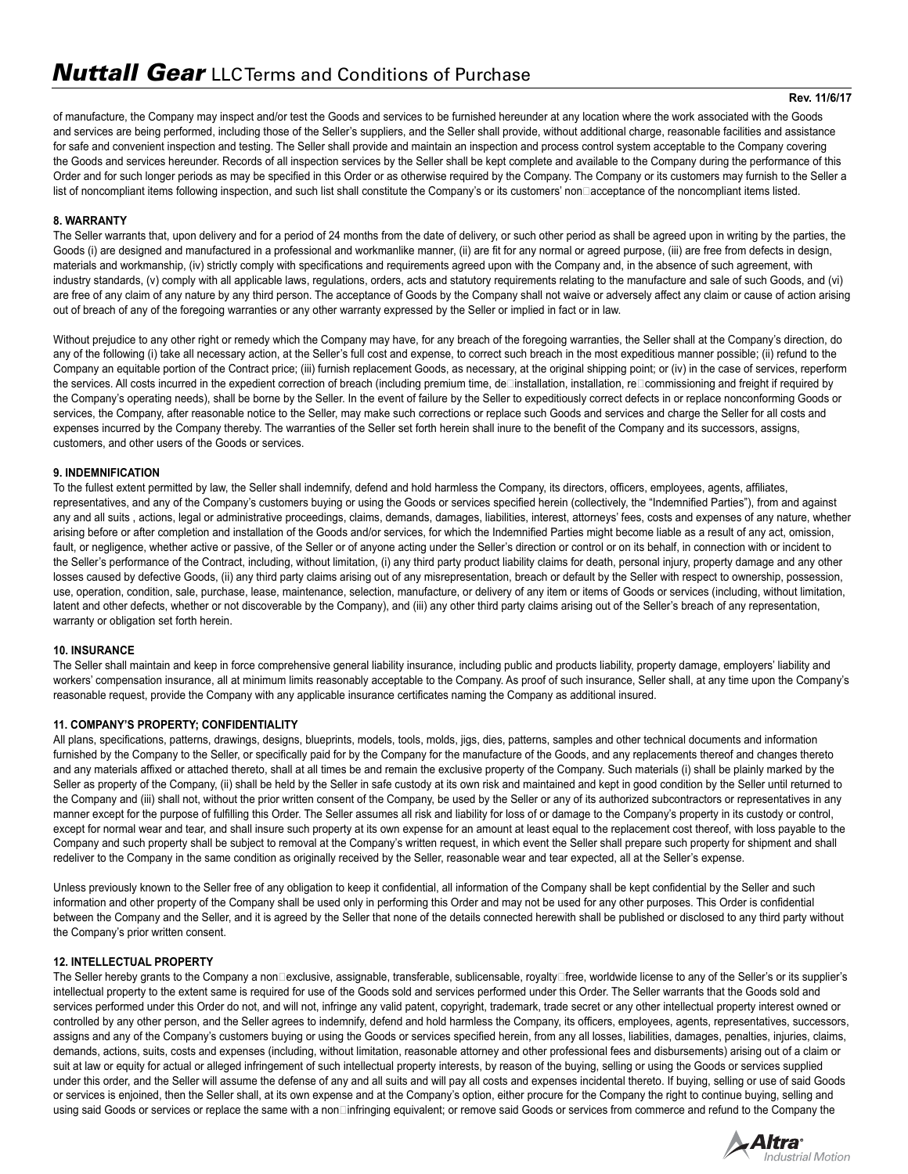**Rev. 11/6/17**

of manufacture, the Company may inspect and/or test the Goods and services to be furnished hereunder at any location where the work associated with the Goods and services are being performed, including those of the Seller's suppliers, and the Seller shall provide, without additional charge, reasonable facilities and assistance for safe and convenient inspection and testing. The Seller shall provide and maintain an inspection and process control system acceptable to the Company covering the Goods and services hereunder. Records of all inspection services by the Seller shall be kept complete and available to the Company during the performance of this Order and for such longer periods as may be specified in this Order or as otherwise required by the Company. The Company or its customers may furnish to the Seller a list of noncompliant items following inspection, and such list shall constitute the Company's or its customers' non□acceptance of the noncompliant items listed.

# **8. WARRANTY**

The Seller warrants that, upon delivery and for a period of 24 months from the date of delivery, or such other period as shall be agreed upon in writing by the parties, the Goods (i) are designed and manufactured in a professional and workmanlike manner, (ii) are fit for any normal or agreed purpose, (iii) are free from defects in design, materials and workmanship, (iv) strictly comply with specifications and requirements agreed upon with the Company and, in the absence of such agreement, with industry standards, (v) comply with all applicable laws, regulations, orders, acts and statutory requirements relating to the manufacture and sale of such Goods, and (vi) are free of any claim of any nature by any third person. The acceptance of Goods by the Company shall not waive or adversely affect any claim or cause of action arising out of breach of any of the foregoing warranties or any other warranty expressed by the Seller or implied in fact or in law.

Without prejudice to any other right or remedy which the Company may have, for any breach of the foregoing warranties, the Seller shall at the Company's direction, do any of the following (i) take all necessary action, at the Seller's full cost and expense, to correct such breach in the most expeditious manner possible; (ii) refund to the Company an equitable portion of the Contract price; (iii) furnish replacement Goods, as necessary, at the original shipping point; or (iv) in the case of services, reperform the services. All costs incurred in the expedient correction of breach (including premium time, de□installation, installation, re□commissioning and freight if required by the Company's operating needs), shall be borne by the Seller. In the event of failure by the Seller to expeditiously correct defects in or replace nonconforming Goods or services, the Company, after reasonable notice to the Seller, may make such corrections or replace such Goods and services and charge the Seller for all costs and expenses incurred by the Company thereby. The warranties of the Seller set forth herein shall inure to the benefit of the Company and its successors, assigns, customers, and other users of the Goods or services.

# **9. INDEMNIFICATION**

To the fullest extent permitted by law, the Seller shall indemnify, defend and hold harmless the Company, its directors, officers, employees, agents, affiliates, representatives, and any of the Company's customers buying or using the Goods or services specified herein (collectively, the "Indemnified Parties"), from and against any and all suits, actions, legal or administrative proceedings, claims, demands, damages, liabilities, interest, attorneys' fees, costs and expenses of any nature, whether arising before or after completion and installation of the Goods and/or services, for which the Indemnified Parties might become liable as a result of any act, omission, fault, or negligence, whether active or passive, of the Seller or of anyone acting under the Seller's direction or control or on its behalf, in connection with or incident to the Seller's performance of the Contract, including, without limitation, (i) any third party product liability claims for death, personal injury, property damage and any other losses caused by defective Goods, (ii) any third party claims arising out of any misrepresentation, breach or default by the Seller with respect to ownership, possession, use, operation, condition, sale, purchase, lease, maintenance, selection, manufacture, or delivery of any item or items of Goods or services (including, without limitation, latent and other defects, whether or not discoverable by the Company), and (iii) any other third party claims arising out of the Seller's breach of any representation, warranty or obligation set forth herein.

# **10. INSURANCE**

The Seller shall maintain and keep in force comprehensive general liability insurance, including public and products liability, property damage, employers' liability and workers' compensation insurance, all at minimum limits reasonably acceptable to the Company. As proof of such insurance, Seller shall, at any time upon the Company's reasonable request, provide the Company with any applicable insurance certificates naming the Company as additional insured.

# **11. COMPANY'S PROPERTY; CONFIDENTIALITY**

All plans, specifications, patterns, drawings, designs, blueprints, models, tools, molds, jigs, dies, patterns, samples and other technical documents and information furnished by the Company to the Seller, or specifically paid for by the Company for the manufacture of the Goods, and any replacements thereof and changes thereto and any materials affixed or attached thereto, shall at all times be and remain the exclusive property of the Company. Such materials (i) shall be plainly marked by the Seller as property of the Company, (ii) shall be held by the Seller in safe custody at its own risk and maintained and kept in good condition by the Seller until returned to the Company and (iii) shall not, without the prior written consent of the Company, be used by the Seller or any of its authorized subcontractors or representatives in any manner except for the purpose of fulfilling this Order. The Seller assumes all risk and liability for loss of or damage to the Company's property in its custody or control, except for normal wear and tear, and shall insure such property at its own expense for an amount at least equal to the replacement cost thereof, with loss payable to the Company and such property shall be subject to removal at the Company's written request, in which event the Seller shall prepare such property for shipment and shall redeliver to the Company in the same condition as originally received by the Seller, reasonable wear and tear expected, all at the Seller's expense.

Unless previously known to the Seller free of any obligation to keep it confidential, all information of the Company shall be kept confidential by the Seller and such information and other property of the Company shall be used only in performing this Order and may not be used for any other purposes. This Order is confidential between the Company and the Seller, and it is agreed by the Seller that none of the details connected herewith shall be published or disclosed to any third party without the Company's prior written consent.

# **12. INTELLECTUAL PROPERTY**

The Seller hereby grants to the Company a non□exclusive, assignable, transferable, sublicensable, royalty□free, worldwide license to any of the Seller's or its supplier's intellectual property to the extent same is required for use of the Goods sold and services performed under this Order. The Seller warrants that the Goods sold and services performed under this Order do not, and will not, infringe any valid patent, copyright, trademark, trade secret or any other intellectual property interest owned or controlled by any other person, and the Seller agrees to indemnify, defend and hold harmless the Company, its officers, employees, agents, representatives, successors, assigns and any of the Company's customers buying or using the Goods or services specified herein, from any all losses, liabilities, damages, penalties, injuries, claims, demands, actions, suits, costs and expenses (including, without limitation, reasonable attorney and other professional fees and disbursements) arising out of a claim or suit at law or equity for actual or alleged infringement of such intellectual property interests, by reason of the buying, selling or using the Goods or services supplied under this order, and the Seller will assume the defense of any and all suits and will pay all costs and expenses incidental thereto. If buying, selling or use of said Goods or services is enjoined, then the Seller shall, at its own expense and at the Company's option, either procure for the Company the right to continue buying, selling and using said Goods or services or replace the same with a non□infringing equivalent; or remove said Goods or services from commerce and refund to the Company the

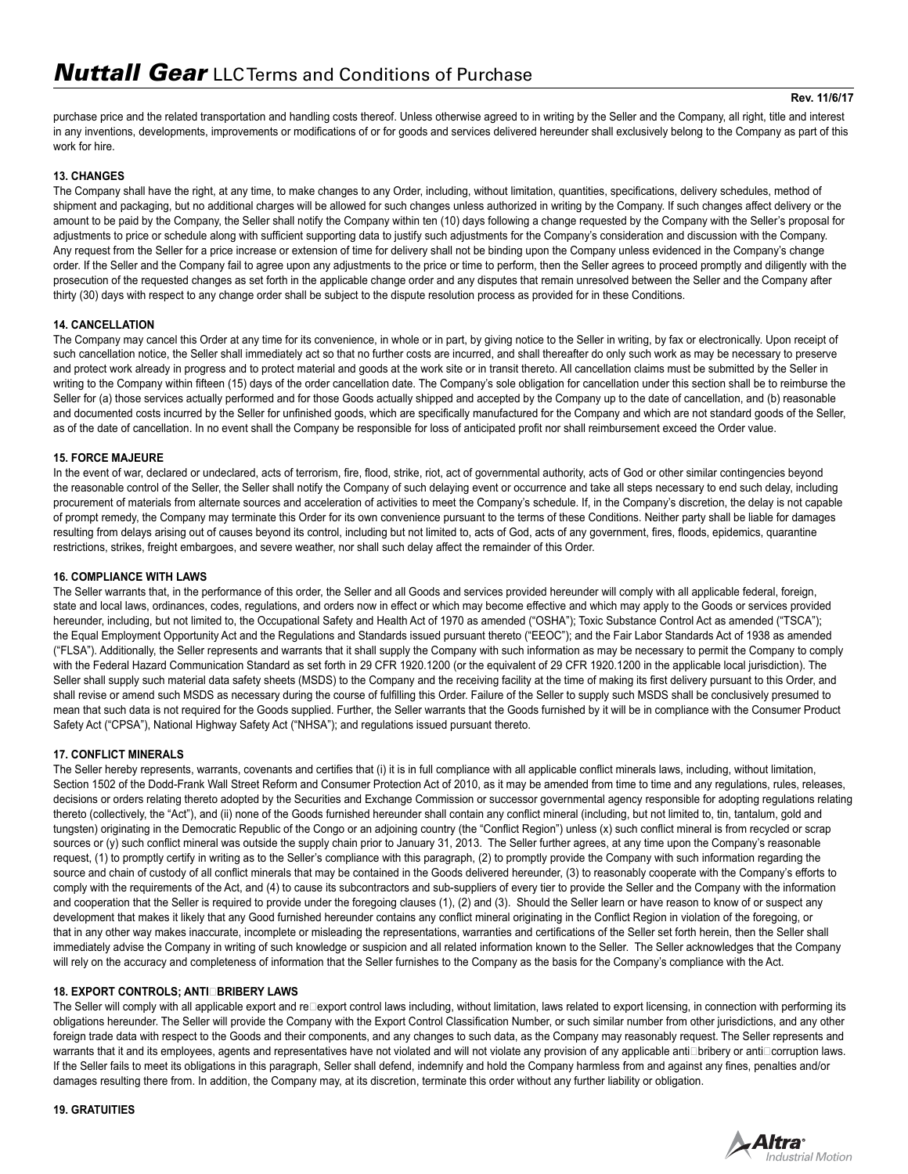purchase price and the related transportation and handling costs thereof. Unless otherwise agreed to in writing by the Seller and the Company, all right, title and interest in any inventions, developments, improvements or modifications of or for goods and services delivered hereunder shall exclusively belong to the Company as part of this work for hire.

# **13. CHANGES**

The Company shall have the right, at any time, to make changes to any Order, including, without limitation, quantities, specifications, delivery schedules, method of shipment and packaging, but no additional charges will be allowed for such changes unless authorized in writing by the Company. If such changes affect delivery or the amount to be paid by the Company, the Seller shall notify the Company within ten (10) days following a change requested by the Company with the Seller's proposal for adjustments to price or schedule along with sufficient supporting data to justify such adjustments for the Company's consideration and discussion with the Company. Any request from the Seller for a price increase or extension of time for delivery shall not be binding upon the Company unless evidenced in the Company's change order. If the Seller and the Company fail to agree upon any adjustments to the price or time to perform, then the Seller agrees to proceed promptly and diligently with the prosecution of the requested changes as set forth in the applicable change order and any disputes that remain unresolved between the Seller and the Company after thirty (30) days with respect to any change order shall be subject to the dispute resolution process as provided for in these Conditions.

# **14. CANCELLATION**

The Company may cancel this Order at any time for its convenience, in whole or in part, by giving notice to the Seller in writing, by fax or electronically. Upon receipt of such cancellation notice, the Seller shall immediately act so that no further costs are incurred, and shall thereafter do only such work as may be necessary to preserve and protect work already in progress and to protect material and goods at the work site or in transit thereto. All cancellation claims must be submitted by the Seller in writing to the Company within fifteen (15) days of the order cancellation date. The Company's sole obligation for cancellation under this section shall be to reimburse the Seller for (a) those services actually performed and for those Goods actually shipped and accepted by the Company up to the date of cancellation, and (b) reasonable and documented costs incurred by the Seller for unfinished goods, which are specifically manufactured for the Company and which are not standard goods of the Seller, as of the date of cancellation. In no event shall the Company be responsible for loss of anticipated profit nor shall reimbursement exceed the Order value.

# **15. FORCE MAJEURE**

In the event of war, declared or undeclared, acts of terrorism, fire, flood, strike, riot, act of governmental authority, acts of God or other similar contingencies beyond the reasonable control of the Seller, the Seller shall notify the Company of such delaying event or occurrence and take all steps necessary to end such delay, including procurement of materials from alternate sources and acceleration of activities to meet the Company's schedule. If, in the Company's discretion, the delay is not capable of prompt remedy, the Company may terminate this Order for its own convenience pursuant to the terms of these Conditions. Neither party shall be liable for damages resulting from delays arising out of causes beyond its control, including but not limited to, acts of God, acts of any government, fires, floods, epidemics, quarantine restrictions, strikes, freight embargoes, and severe weather, nor shall such delay affect the remainder of this Order.

# **16. COMPLIANCE WITH LAWS**

The Seller warrants that, in the performance of this order, the Seller and all Goods and services provided hereunder will comply with all applicable federal, foreign, state and local laws, ordinances, codes, regulations, and orders now in effect or which may become effective and which may apply to the Goods or services provided hereunder, including, but not limited to, the Occupational Safety and Health Act of 1970 as amended ("OSHA"); Toxic Substance Control Act as amended ("TSCA"); the Equal Employment Opportunity Act and the Regulations and Standards issued pursuant thereto ("EEOC"); and the Fair Labor Standards Act of 1938 as amended ("FLSA"). Additionally, the Seller represents and warrants that it shall supply the Company with such information as may be necessary to permit the Company to comply with the Federal Hazard Communication Standard as set forth in 29 CFR 1920.1200 (or the equivalent of 29 CFR 1920.1200 in the applicable local jurisdiction). The Seller shall supply such material data safety sheets (MSDS) to the Company and the receiving facility at the time of making its first delivery pursuant to this Order, and shall revise or amend such MSDS as necessary during the course of fulfilling this Order. Failure of the Seller to supply such MSDS shall be conclusively presumed to mean that such data is not required for the Goods supplied. Further, the Seller warrants that the Goods furnished by it will be in compliance with the Consumer Product Safety Act ("CPSA"), National Highway Safety Act ("NHSA"); and regulations issued pursuant thereto.

# **17. CONFLICT MINERALS**

The Seller hereby represents, warrants, covenants and certifies that (i) it is in full compliance with all applicable conflict minerals laws, including, without limitation, Section 1502 of the Dodd-Frank Wall Street Reform and Consumer Protection Act of 2010, as it may be amended from time to time and any regulations, rules, releases, decisions or orders relating thereto adopted by the Securities and Exchange Commission or successor governmental agency responsible for adopting regulations relating thereto (collectively, the "Act"), and (ii) none of the Goods furnished hereunder shall contain any conflict mineral (including, but not limited to, tin, tantalum, gold and tungsten) originating in the Democratic Republic of the Congo or an adjoining country (the "Conflict Region") unless (x) such conflict mineral is from recycled or scrap sources or (y) such conflict mineral was outside the supply chain prior to January 31, 2013. The Seller further agrees, at any time upon the Company's reasonable request, (1) to promptly certify in writing as to the Seller's compliance with this paragraph, (2) to promptly provide the Company with such information regarding the source and chain of custody of all conflict minerals that may be contained in the Goods delivered hereunder, (3) to reasonably cooperate with the Company's efforts to comply with the requirements of the Act, and (4) to cause its subcontractors and sub-suppliers of every tier to provide the Seller and the Company with the information and cooperation that the Seller is required to provide under the foregoing clauses (1), (2) and (3). Should the Seller learn or have reason to know of or suspect any development that makes it likely that any Good furnished hereunder contains any conflict mineral originating in the Conflict Region in violation of the foregoing, or that in any other way makes inaccurate, incomplete or misleading the representations, warranties and certifications of the Seller set forth herein, then the Seller shall immediately advise the Company in writing of such knowledge or suspicion and all related information known to the Seller. The Seller acknowledges that the Company will rely on the accuracy and completeness of information that the Seller furnishes to the Company as the basis for the Company's compliance with the Act.

# **18. EXPORT CONTROLS; ANTILBRIBERY LAWS**

The Seller will comply with all applicable export and re $\square$ export control laws including, without limitation, laws related to export licensing, in connection with performing its obligations hereunder. The Seller will provide the Company with the Export Control Classification Number, or such similar number from other jurisdictions, and any other foreign trade data with respect to the Goods and their components, and any changes to such data, as the Company may reasonably request. The Seller represents and warrants that it and its employees, agents and representatives have not violated and will not violate any provision of any applicable anti□bribery or anti□corruption laws. If the Seller fails to meet its obligations in this paragraph, Seller shall defend, indemnify and hold the Company harmless from and against any fines, penalties and/or damages resulting there from. In addition, the Company may, at its discretion, terminate this order without any further liability or obligation.